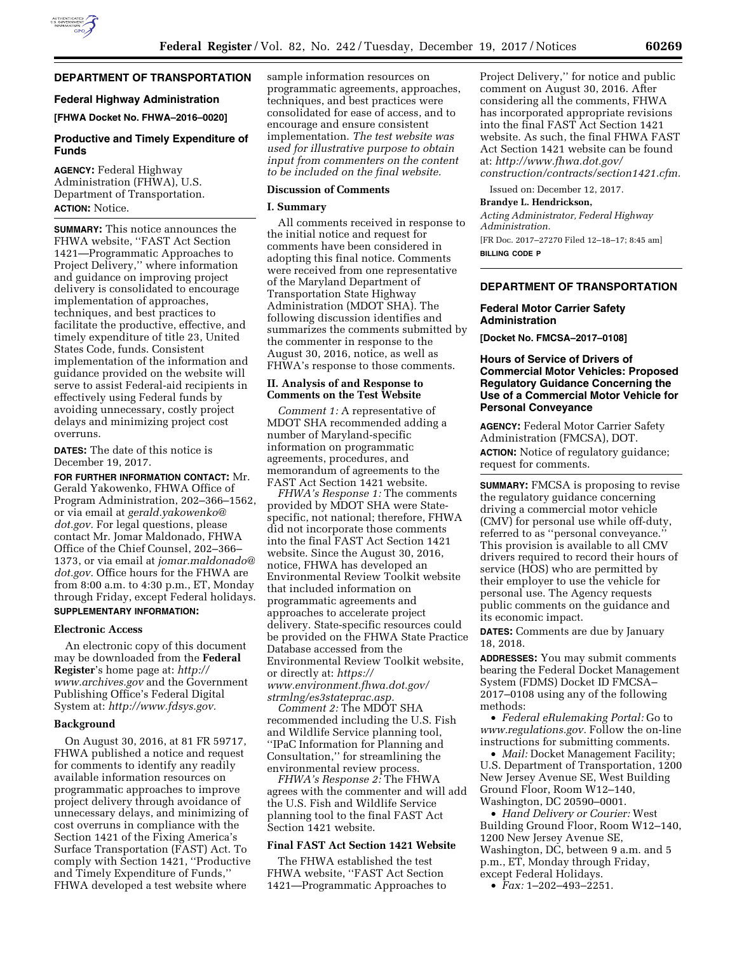

# **DEPARTMENT OF TRANSPORTATION**

### **Federal Highway Administration**

**[FHWA Docket No. FHWA–2016–0020]** 

# **Productive and Timely Expenditure of Funds**

**AGENCY:** Federal Highway Administration (FHWA), U.S. Department of Transportation. **ACTION:** Notice.

**SUMMARY:** This notice announces the FHWA website, ''FAST Act Section 1421—Programmatic Approaches to Project Delivery,'' where information and guidance on improving project delivery is consolidated to encourage implementation of approaches, techniques, and best practices to facilitate the productive, effective, and timely expenditure of title 23, United States Code, funds. Consistent implementation of the information and guidance provided on the website will serve to assist Federal-aid recipients in effectively using Federal funds by avoiding unnecessary, costly project delays and minimizing project cost overruns.

**DATES:** The date of this notice is December 19, 2017.

**FOR FURTHER INFORMATION CONTACT:** Mr. Gerald Yakowenko, FHWA Office of Program Administration, 202–366–1562, or via email at *[gerald.yakowenko@](mailto:gerald.yakowenko@dot.gov) [dot.gov.](mailto:gerald.yakowenko@dot.gov)* For legal questions, please contact Mr. Jomar Maldonado, FHWA Office of the Chief Counsel, 202–366– 1373, or via email at *[jomar.maldonado@](mailto:jomar.maldonado@dot.gov) [dot.gov.](mailto:jomar.maldonado@dot.gov)* Office hours for the FHWA are from 8:00 a.m. to 4:30 p.m., ET, Monday through Friday, except Federal holidays. **SUPPLEMENTARY INFORMATION:** 

#### **Electronic Access**

An electronic copy of this document may be downloaded from the **Federal Register**'s home page at: *[http://](http://www.archives.gov) [www.archives.gov](http://www.archives.gov)* and the Government Publishing Office's Federal Digital System at: *[http://www.fdsys.gov.](http://www.fdsys.gov)* 

#### **Background**

On August 30, 2016, at 81 FR 59717, FHWA published a notice and request for comments to identify any readily available information resources on programmatic approaches to improve project delivery through avoidance of unnecessary delays, and minimizing of cost overruns in compliance with the Section 1421 of the Fixing America's Surface Transportation (FAST) Act. To comply with Section 1421, ''Productive and Timely Expenditure of Funds,'' FHWA developed a test website where

sample information resources on programmatic agreements, approaches, techniques, and best practices were consolidated for ease of access, and to encourage and ensure consistent implementation. *The test website was used for illustrative purpose to obtain input from commenters on the content to be included on the final website.* 

# **Discussion of Comments**

#### **I. Summary**

All comments received in response to the initial notice and request for comments have been considered in adopting this final notice. Comments were received from one representative of the Maryland Department of Transportation State Highway Administration (MDOT SHA). The following discussion identifies and summarizes the comments submitted by the commenter in response to the August 30, 2016, notice, as well as FHWA's response to those comments.

## **II. Analysis of and Response to Comments on the Test Website**

*Comment 1:* A representative of MDOT SHA recommended adding a number of Maryland-specific information on programmatic agreements, procedures, and memorandum of agreements to the FAST Act Section 1421 website.

*FHWA's Response 1:* The comments provided by MDOT SHA were Statespecific, not national; therefore, FHWA did not incorporate those comments into the final FAST Act Section 1421 website. Since the August 30, 2016, notice, FHWA has developed an Environmental Review Toolkit website that included information on programmatic agreements and approaches to accelerate project delivery. State-specific resources could be provided on the FHWA State Practice Database accessed from the Environmental Review Toolkit website, or directly at: *[https://](https://www.environment.fhwa.dot.gov/strmlng/es3stateprac.asp) [www.environment.fhwa.dot.gov/](https://www.environment.fhwa.dot.gov/strmlng/es3stateprac.asp)  [strmlng/es3stateprac.asp.](https://www.environment.fhwa.dot.gov/strmlng/es3stateprac.asp)* 

*Comment 2:* The MDOT SHA recommended including the U.S. Fish and Wildlife Service planning tool, ''IPaC Information for Planning and Consultation,'' for streamlining the environmental review process.

*FHWA's Response 2:* The FHWA agrees with the commenter and will add the U.S. Fish and Wildlife Service planning tool to the final FAST Act Section 1421 website.

# **Final FAST Act Section 1421 Website**

The FHWA established the test FHWA website, ''FAST Act Section 1421—Programmatic Approaches to Project Delivery,'' for notice and public comment on August 30, 2016. After considering all the comments, FHWA has incorporated appropriate revisions into the final FAST Act Section 1421 website. As such, the final FHWA FAST Act Section 1421 website can be found at: *[http://www.fhwa.dot.gov/](http://www.fhwa.dot.gov/construction/contracts/section1421.cfm) [construction/contracts/section1421.cfm.](http://www.fhwa.dot.gov/construction/contracts/section1421.cfm)* 

Issued on: December 12, 2017.

#### **Brandye L. Hendrickson,**

*Acting Administrator, Federal Highway Administration.*  [FR Doc. 2017–27270 Filed 12–18–17; 8:45 am] **BILLING CODE P** 

### **DEPARTMENT OF TRANSPORTATION**

### **Federal Motor Carrier Safety Administration**

**[Docket No. FMCSA–2017–0108]** 

## **Hours of Service of Drivers of Commercial Motor Vehicles: Proposed Regulatory Guidance Concerning the Use of a Commercial Motor Vehicle for Personal Conveyance**

**AGENCY:** Federal Motor Carrier Safety Administration (FMCSA), DOT. **ACTION:** Notice of regulatory guidance; request for comments.

**SUMMARY:** FMCSA is proposing to revise the regulatory guidance concerning driving a commercial motor vehicle (CMV) for personal use while off-duty, referred to as "personal conveyance. This provision is available to all CMV drivers required to record their hours of service (HOS) who are permitted by their employer to use the vehicle for personal use. The Agency requests public comments on the guidance and its economic impact.

**DATES:** Comments are due by January 18, 2018.

**ADDRESSES:** You may submit comments bearing the Federal Docket Management System (FDMS) Docket ID FMCSA– 2017–0108 using any of the following methods:

• *Federal eRulemaking Portal:* Go to *[www.regulations.gov.](http://www.regulations.gov)* Follow the on-line instructions for submitting comments.

• *Mail:* Docket Management Facility; U.S. Department of Transportation, 1200 New Jersey Avenue SE, West Building Ground Floor, Room W12–140, Washington, DC 20590–0001.

• *Hand Delivery or Courier:* West Building Ground Floor, Room W12–140, 1200 New Jersey Avenue SE, Washington, DC, between 9 a.m. and 5 p.m., ET, Monday through Friday, except Federal Holidays.

• *Fax:* 1–202–493–2251.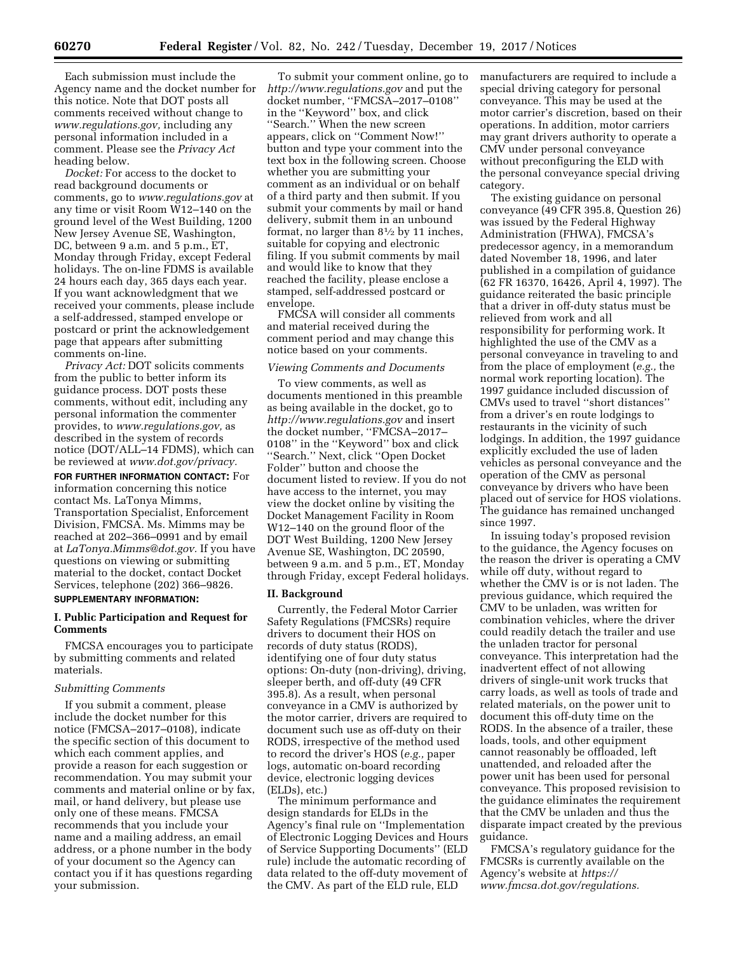Each submission must include the Agency name and the docket number for this notice. Note that DOT posts all comments received without change to *[www.regulations.gov,](http://www.regulations.gov)* including any personal information included in a comment. Please see the *Privacy Act*  heading below.

*Docket:* For access to the docket to read background documents or comments, go to *[www.regulations.gov](http://www.regulations.gov)* at any time or visit Room W12–140 on the ground level of the West Building, 1200 New Jersey Avenue SE, Washington, DC, between 9 a.m. and 5 p.m., ET, Monday through Friday, except Federal holidays. The on-line FDMS is available 24 hours each day, 365 days each year. If you want acknowledgment that we received your comments, please include a self-addressed, stamped envelope or postcard or print the acknowledgement page that appears after submitting comments on-line.

*Privacy Act:* DOT solicits comments from the public to better inform its guidance process. DOT posts these comments, without edit, including any personal information the commenter provides, to *[www.regulations.gov,](http://www.regulations.gov)* as described in the system of records notice (DOT/ALL–14 FDMS), which can be reviewed at *[www.dot.gov/privacy.](http://www.dot.gov/privacy)* 

**FOR FURTHER INFORMATION CONTACT:** For information concerning this notice contact Ms. LaTonya Mimms, Transportation Specialist, Enforcement Division, FMCSA. Ms. Mimms may be reached at 202–366–0991 and by email at *[LaTonya.Mimms@dot.gov.](mailto:LaTonya.Mimms@dot.gov)* If you have questions on viewing or submitting material to the docket, contact Docket Services, telephone (202) 366–9826.

# **SUPPLEMENTARY INFORMATION:**

# **I. Public Participation and Request for Comments**

FMCSA encourages you to participate by submitting comments and related materials.

### *Submitting Comments*

If you submit a comment, please include the docket number for this notice (FMCSA–2017–0108), indicate the specific section of this document to which each comment applies, and provide a reason for each suggestion or recommendation. You may submit your comments and material online or by fax, mail, or hand delivery, but please use only one of these means. FMCSA recommends that you include your name and a mailing address, an email address, or a phone number in the body of your document so the Agency can contact you if it has questions regarding your submission.

To submit your comment online, go to *<http://www.regulations.gov>* and put the docket number, ''FMCSA–2017–0108'' in the ''Keyword'' box, and click ''Search.'' When the new screen appears, click on ''Comment Now!'' button and type your comment into the text box in the following screen. Choose whether you are submitting your comment as an individual or on behalf of a third party and then submit. If you submit your comments by mail or hand delivery, submit them in an unbound format, no larger than  $8\frac{1}{2}$  by 11 inches, suitable for copying and electronic filing. If you submit comments by mail and would like to know that they reached the facility, please enclose a stamped, self-addressed postcard or envelope.

FMCSA will consider all comments and material received during the comment period and may change this notice based on your comments.

### *Viewing Comments and Documents*

To view comments, as well as documents mentioned in this preamble as being available in the docket, go to *<http://www.regulations.gov>* and insert the docket number, ''FMCSA–2017– 0108'' in the ''Keyword'' box and click ''Search.'' Next, click ''Open Docket Folder'' button and choose the document listed to review. If you do not have access to the internet, you may view the docket online by visiting the Docket Management Facility in Room W12–140 on the ground floor of the DOT West Building, 1200 New Jersey Avenue SE, Washington, DC 20590, between 9 a.m. and 5 p.m., ET, Monday through Friday, except Federal holidays.

### **II. Background**

Currently, the Federal Motor Carrier Safety Regulations (FMCSRs) require drivers to document their HOS on records of duty status (RODS), identifying one of four duty status options: On-duty (non-driving), driving, sleeper berth, and off-duty (49 CFR 395.8). As a result, when personal conveyance in a CMV is authorized by the motor carrier, drivers are required to document such use as off-duty on their RODS, irrespective of the method used to record the driver's HOS (*e.g.,* paper logs, automatic on-board recording device, electronic logging devices (ELDs), etc.)

The minimum performance and design standards for ELDs in the Agency's final rule on ''Implementation of Electronic Logging Devices and Hours of Service Supporting Documents'' (ELD rule) include the automatic recording of data related to the off-duty movement of the CMV. As part of the ELD rule, ELD

manufacturers are required to include a special driving category for personal conveyance. This may be used at the motor carrier's discretion, based on their operations. In addition, motor carriers may grant drivers authority to operate a CMV under personal conveyance without preconfiguring the ELD with the personal conveyance special driving category.

The existing guidance on personal conveyance (49 CFR 395.8, Question 26) was issued by the Federal Highway Administration (FHWA), FMCSA's predecessor agency, in a memorandum dated November 18, 1996, and later published in a compilation of guidance (62 FR 16370, 16426, April 4, 1997). The guidance reiterated the basic principle that a driver in off-duty status must be relieved from work and all responsibility for performing work. It highlighted the use of the CMV as a personal conveyance in traveling to and from the place of employment (*e.g.,* the normal work reporting location). The 1997 guidance included discussion of CMVs used to travel ''short distances'' from a driver's en route lodgings to restaurants in the vicinity of such lodgings. In addition, the 1997 guidance explicitly excluded the use of laden vehicles as personal conveyance and the operation of the CMV as personal conveyance by drivers who have been placed out of service for HOS violations. The guidance has remained unchanged since 1997.

In issuing today's proposed revision to the guidance, the Agency focuses on the reason the driver is operating a CMV while off duty, without regard to whether the CMV is or is not laden. The previous guidance, which required the CMV to be unladen, was written for combination vehicles, where the driver could readily detach the trailer and use the unladen tractor for personal conveyance. This interpretation had the inadvertent effect of not allowing drivers of single-unit work trucks that carry loads, as well as tools of trade and related materials, on the power unit to document this off-duty time on the RODS. In the absence of a trailer, these loads, tools, and other equipment cannot reasonably be offloaded, left unattended, and reloaded after the power unit has been used for personal conveyance. This proposed revisision to the guidance eliminates the requirement that the CMV be unladen and thus the disparate impact created by the previous guidance.

FMCSA's regulatory guidance for the FMCSRs is currently available on the Agency's website at *[https://](https://www.fmcsa.dot.gov/regulations) [www.fmcsa.dot.gov/regulations.](https://www.fmcsa.dot.gov/regulations)*